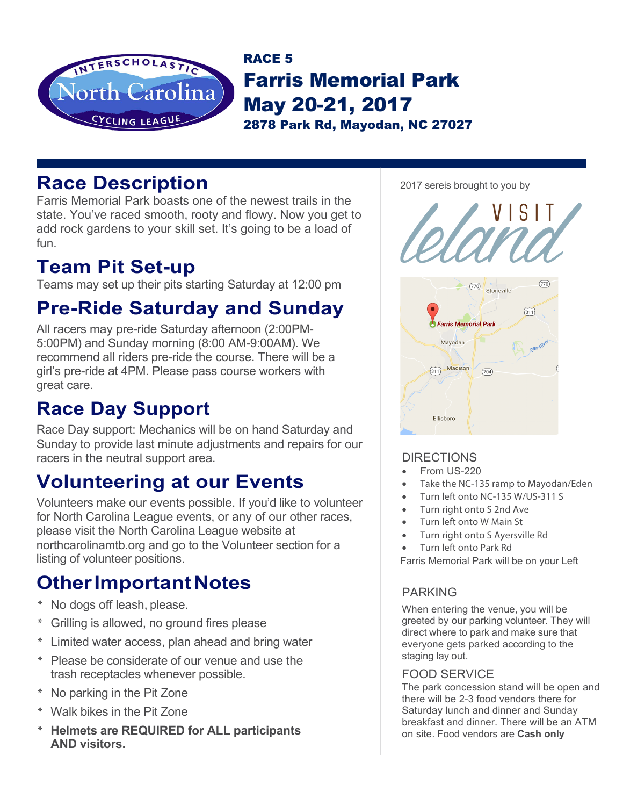

RACE<sub>5</sub> Farris Memorial Park May 20-21, 2017 2878 Park Rd, Mayodan, NC 27027

## **Race Description**

Farris Memorial Park boasts one of the newest trails in the state. You've raced smooth, rooty and flowy. Now you get to add rock gardens to your skill set. It's going to be a load of fun.

## **Team Pit Set-up**

Teams may set up their pits starting Saturday at 12:00 pm

# **Pre-Ride Saturday and Sunday**

All racers may pre-ride Saturday afternoon (2:00PM-5:00PM) and Sunday morning (8:00 AM-9:00AM). We recommend all riders pre-ride the course. There will be a girl's pre-ride at 4PM. Please pass course workers with great care.

# **Race Day Support**

Race Day support: Mechanics will be on hand Saturday and Sunday to provide last minute adjustments and repairs for our racers in the neutral support area.

# **Volunteering at our Events**

Volunteers make our events possible. If you'd like to volunteer for North Carolina League events, or any of our other races, please visit the North Carolina League website at northcarolinamtb.org and go to the Volunteer section for a listing of volunteer positions.

## **OtherImportantNotes**

- \* No dogs off leash, please.
- \* Grilling is allowed, no ground fires please
- \* Limited water access, plan ahead and bring water
- \* Please be considerate of our venue and use the trash receptacles whenever possible.
- \* No parking in the Pit Zone
- Walk bikes in the Pit Zone
- \* **Helmets are REQUIRED for ALL participants AND visitors.**

2017 sereis brought to you by





#### DIRECTIONS

- From US-220
- Take the NC-135 ramp to Mayodan/Eden
- Turn left onto NC-135 W/US-311 S
- Turn right onto S 2nd Ave
- Turn left onto W Main St
- Turn right onto S Ayersville Rd
- Turn left onto Park Rd

Farris Memorial Park will be on your Left

#### PARKING

When entering the venue, you will be greeted by our parking volunteer. They will direct where to park and make sure that everyone gets parked according to the staging lay out.

#### FOOD SERVICE

The park concession stand will be open and there will be 2-3 food vendors there for Saturday lunch and dinner and Sunday breakfast and dinner. There will be an ATM on site. Food vendors are **Cash only**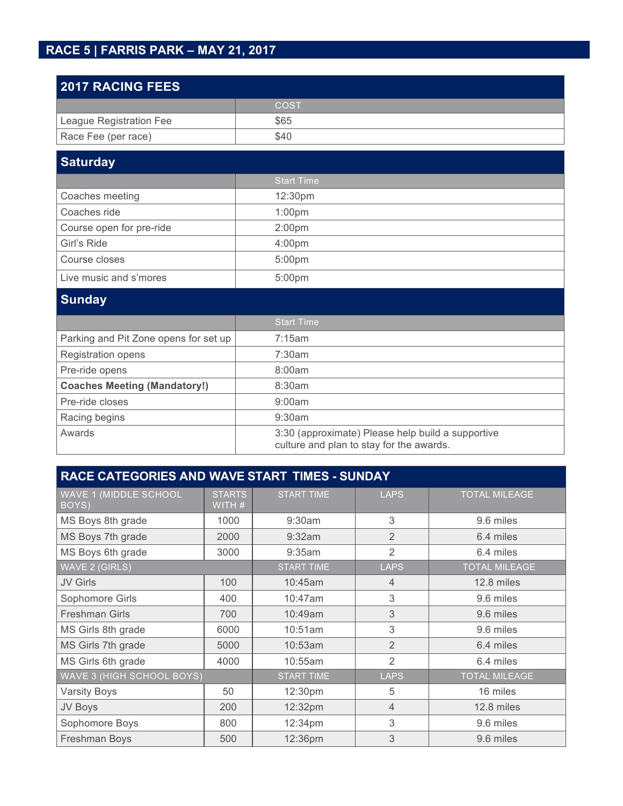### **RACE 5 | FARRIS PARK – MAY 21, 2017**

| <b>2017 RACING FEES</b> |             |  |  |  |
|-------------------------|-------------|--|--|--|
|                         | <b>COST</b> |  |  |  |
| League Registration Fee | \$65        |  |  |  |
| Race Fee (per race)     | \$40        |  |  |  |
| <b>Saturday</b>         |             |  |  |  |

| _____                                 |                      |
|---------------------------------------|----------------------|
|                                       | <b>Start Time</b>    |
| Coaches meeting                       | 12:30pm              |
| Coaches ride                          | 1:00 <sub>pm</sub>   |
| Course open for pre-ride              | 2:00 <sub>pm</sub>   |
| Girl's Ride                           | 4:00pm               |
| Course closes                         | 5:00pm               |
| Live music and s'mores                | 5:00pm               |
| <b>Sunday</b>                         |                      |
|                                       | <b>Start Time</b>    |
| Parking and Pit Zone opens for set up | 7:15am               |
| <b>Registration opens</b>             | 7:30am               |
| Pre-ride opens                        | 8:00am               |
|                                       | $\sim$ $\sim$ $\sim$ |

| <b>Coaches Meeting (Mandatory!)</b> | 8:30am                                                                                        |
|-------------------------------------|-----------------------------------------------------------------------------------------------|
| Pre-ride closes                     | 9:00am                                                                                        |
| Racing begins                       | $9:30$ am                                                                                     |
| Awards                              | 3:30 (approximate) Please help build a supportive<br>culture and plan to stay for the awards. |

| RACE CATEGORIES AND WAVE START TIMES - SUNDAY |                         |                   |                |                      |  |  |
|-----------------------------------------------|-------------------------|-------------------|----------------|----------------------|--|--|
| WAVE 1 (MIDDLE SCHOOL<br>BOYS)                | <b>STARTS</b><br>WITH # | <b>START TIME</b> | <b>LAPS</b>    | <b>TOTAL MILEAGE</b> |  |  |
| MS Boys 8th grade                             | 1000                    | 9:30am            | 3              | 9.6 miles            |  |  |
| MS Boys 7th grade                             | 2000                    | 9:32am            | $\overline{2}$ | 6.4 miles            |  |  |
| MS Boys 6th grade                             | 3000                    | 9:35am            | $\overline{2}$ | 6.4 miles            |  |  |
| WAVE 2 (GIRLS)                                |                         | <b>START TIME</b> | <b>LAPS</b>    | <b>TOTAL MILEAGE</b> |  |  |
| <b>JV Girls</b>                               | 100                     | 10:45am           | 4              | 12.8 miles           |  |  |
| Sophomore Girls                               | 400                     | $10:47$ am        | 3              | 9.6 miles            |  |  |
| <b>Freshman Girls</b>                         | 700                     | 10:49am           | 3              | 9.6 miles            |  |  |
| MS Girls 8th grade                            | 6000                    | 10:51am           | 3              | 9.6 miles            |  |  |
| MS Girls 7th grade                            | 5000                    | 10:53am           | $\overline{2}$ | 6.4 miles            |  |  |
| MS Girls 6th grade                            | 4000                    | 10:55am           | 2              | 6.4 miles            |  |  |
| WAVE 3 (HIGH SCHOOL BOYS)                     |                         | <b>START TIME</b> | <b>LAPS</b>    | <b>TOTAL MILEAGE</b> |  |  |
| <b>Varsity Boys</b>                           | 50                      | 12:30pm           | 5              | 16 miles             |  |  |
| JV Boys                                       | 200                     | 12:32pm           | $\overline{4}$ | 12.8 miles           |  |  |
| Sophomore Boys                                | 800                     | 12:34pm           | 3              | 9.6 miles            |  |  |
| Freshman Boys                                 | 500                     | 12:36pm           | 3              | 9.6 miles            |  |  |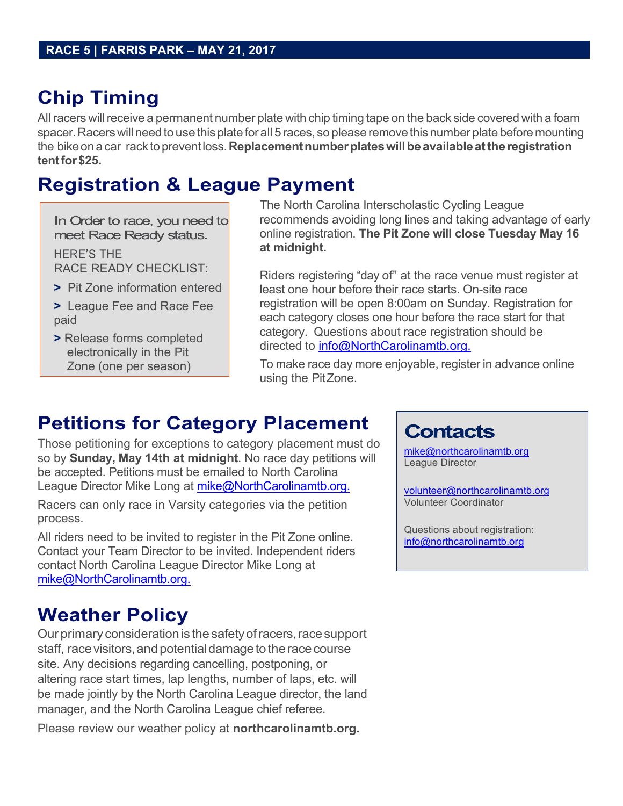## **Chip Timing**

All racers will receive a permanent number plate with chip timing tape on the back side covered with a foam spacer. Racers will need to use this plate for all 5 races, so please remove this number plate before mounting the bikeonacar racktopreventloss.**Replacementnumberplateswillbeavailableattheregistration tentfor\$25.**

### **Registration & League Payment**

In Order to race, you need to meet Race Ready status.

**HERE'S THE** RACE READY CHECKLIST:

- **>** Pit Zone information entered
- **>** League Fee and Race Fee paid
- **>** Release forms completed electronically in the Pit Zone (one per season)

The North Carolina Interscholastic Cycling League recommends avoiding long lines and taking advantage of early online registration. **The Pit Zone will close Tuesday May 16 at midnight.**

Riders registering "day of" at the race venue must register at least one hour before their race starts. On-site race registration will be open 8:00am on Sunday. Registration for each category closes one hour before the race start for that category. Questions about race registration should be directed to info@NorthCarolinamtb.org.

To make race day more enjoyable, register in advance online using the PitZone.

### **Petitions for Category Placement**

Those petitioning for exceptions to category placement must do so by **Sunday, May 14th at midnight**. No race day petitions will be accepted. Petitions must be emailed to North Carolina League Director Mike Long at mike@NorthCarolinamtb.org.

Racers can only race in Varsity categories via the petition process.

All riders need to be invited to register in the Pit Zone online. Contact your Team Director to be invited. Independent riders contact North Carolina League Director Mike Long at mike@NorthCarolinamtb.org.

### **Weather Policy**

Our primary consideration is the safety of racers, race support staff, race visitors, and potential damage to the race course site. Any decisions regarding cancelling, postponing, or altering race start times, lap lengths, number of laps, etc. will be made jointly by the North Carolina League director, the land manager, and the North Carolina League chief referee.

Please review our weather policy at **northcarolinamtb.org.**

### **Contacts**

mike@northcarolinamtb.org League Director

volunteer@northcarolinamtb.org Volunteer Coordinator

Questions about registration: info@northcarolinamtb.org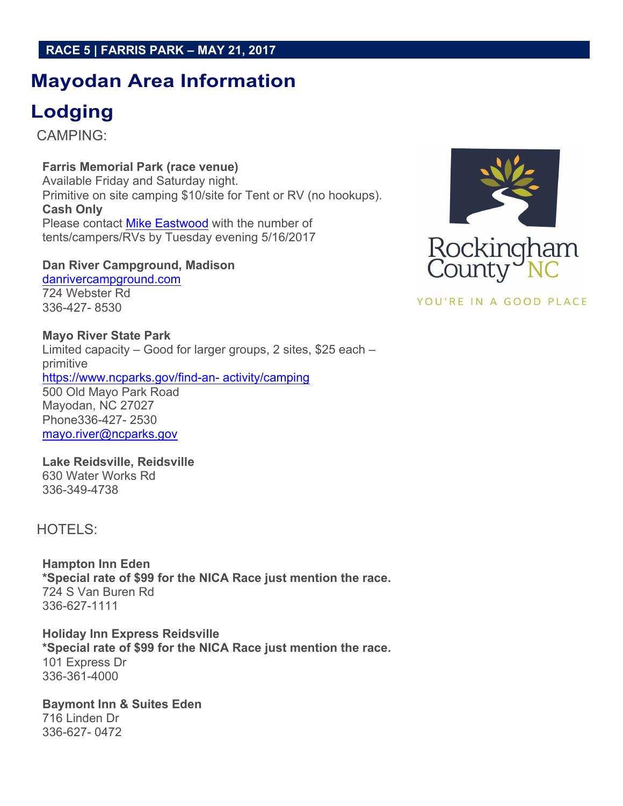#### **RACE 5 | FARRIS PARK – MAY 21, 2017**

## **Mayodan Area Information**

# **Lodging**

CAMPING:

**Farris Memorial Park (race venue)** Available Friday and Saturday night. Primitive on site camping \$10/site for Tent or RV (no hookups). **Cash Only** Please contact Mike Eastwood with the number of tents/campers/RVs by Tuesday evening 5/16/2017

**Dan River Campground, Madison** danrivercampground.com 724 Webster Rd 336-427- 8530

#### **Mayo River State Park**

Limited capacity – Good for larger groups, 2 sites, \$25 each – primitive https://www.ncparks.gov/find-an- activity/camping 500 Old Mayo Park Road Mayodan, NC 27027 Phone336-427- 2530 mayo.river@ncparks.gov

**Lake Reidsville, Reidsville** 630 Water Works Rd 336-349-4738

HOTELS:

**Hampton Inn Eden \*Special rate of \$99 for the NICA Race just mention the race.** 724 S Van Buren Rd 336-627-1111

**Holiday Inn Express Reidsville \*Special rate of \$99 for the NICA Race just mention the race.** 101 Express Dr 336-361-4000

**Baymont Inn & Suites Eden** 716 Linden Dr 336-627- 0472



YOU'RE IN A GOOD PLACE